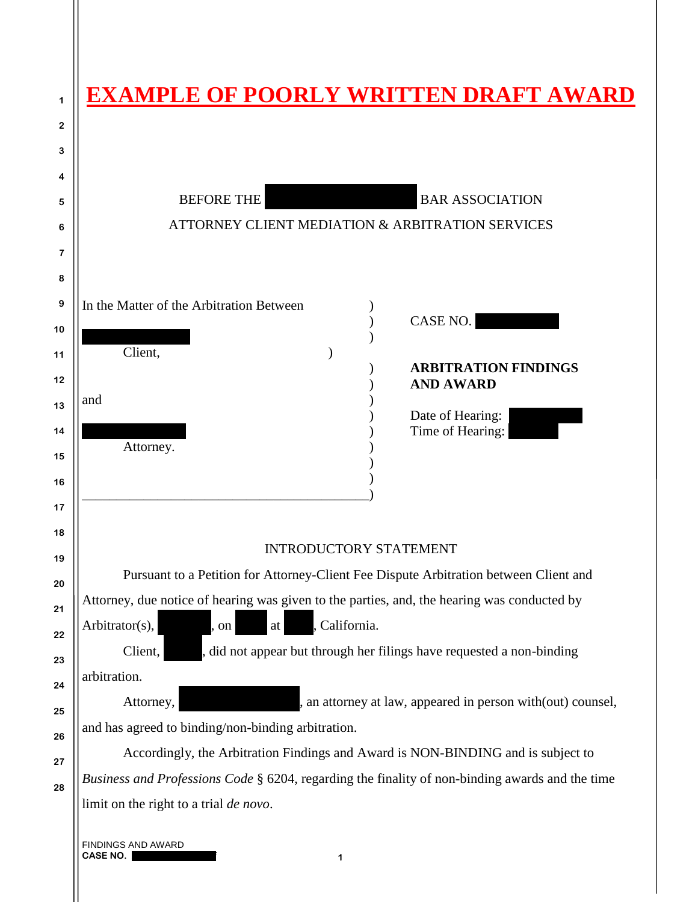|                                                            |                                                    |               | <b>EXAMPLE OF POORLY WRITTEN DRAFT AWARD</b>                                                                                                                  |  |
|------------------------------------------------------------|----------------------------------------------------|---------------|---------------------------------------------------------------------------------------------------------------------------------------------------------------|--|
| In the Matter of the Arbitration Between<br>Client,<br>and | <b>BEFORE THE</b>                                  |               | <b>BAR ASSOCIATION</b><br>ATTORNEY CLIENT MEDIATION & ARBITRATION SERVICES<br>CASE NO.<br><b>ARBITRATION FINDINGS</b><br><b>AND AWARD</b><br>Date of Hearing: |  |
| Attorney.                                                  |                                                    |               | Time of Hearing:<br><b>INTRODUCTORY STATEMENT</b>                                                                                                             |  |
|                                                            |                                                    |               | Pursuant to a Petition for Attorney-Client Fee Dispute Arbitration between Client and                                                                         |  |
|                                                            |                                                    |               | Attorney, due notice of hearing was given to the parties, and, the hearing was conducted by                                                                   |  |
| Arbitrator(s),                                             | at<br>, on                                         | , California. |                                                                                                                                                               |  |
| Client,                                                    |                                                    |               | did not appear but through her filings have requested a non-binding                                                                                           |  |
| arbitration.<br>Attorney,                                  |                                                    |               | , an attorney at law, appeared in person with (out) counsel,                                                                                                  |  |
|                                                            | and has agreed to binding/non-binding arbitration. |               |                                                                                                                                                               |  |
|                                                            |                                                    |               | Accordingly, the Arbitration Findings and Award is NON-BINDING and is subject to                                                                              |  |
|                                                            |                                                    |               | Business and Professions Code § 6204, regarding the finality of non-binding awards and the time                                                               |  |
| limit on the right to a trial <i>de novo</i> .             |                                                    |               |                                                                                                                                                               |  |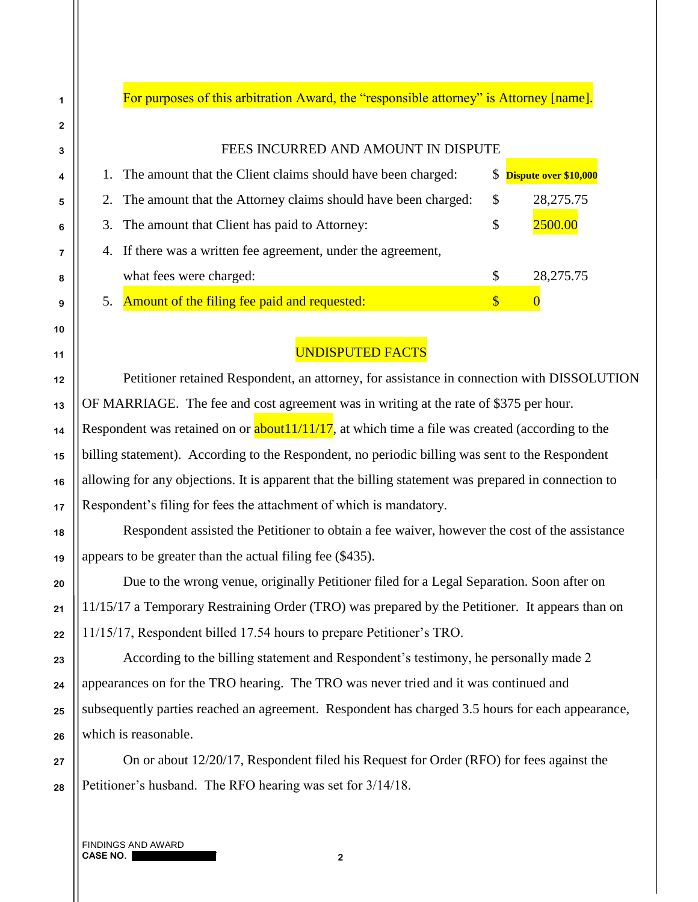For purposes of this arbitration Award, the "responsible attorney" is Attorney [name].

| FEES INCURRED AND AMOUNT IN DISPUTE                              |    |                       |
|------------------------------------------------------------------|----|-----------------------|
| 1. The amount that the Client claims should have been charged:   | \$ | Dispute over \$10,000 |
| 2. The amount that the Attorney claims should have been charged: | S  | 28,275.75             |
| 3. The amount that Client has paid to Attorney:                  | \$ | 2500.00               |
| 4. If there was a written fee agreement, under the agreement,    |    |                       |
| what fees were charged:                                          | æ. | 28, 275. 75           |
| <b>Amount of the filing fee paid and requested:</b>              |    |                       |

## UNDISPUTED FACTS

Petitioner retained Respondent, an attorney, for assistance in connection with DISSOLUTION OF MARRIAGE. The fee and cost agreement was in writing at the rate of \$375 per hour. Respondent was retained on or  $\frac{about11}{11}$ , at which time a file was created (according to the billing statement). According to the Respondent, no periodic billing was sent to the Respondent allowing for any objections. It is apparent that the billing statement was prepared in connection to Respondent's filing for fees the attachment of which is mandatory.

Respondent assisted the Petitioner to obtain a fee waiver, however the cost of the assistance appears to be greater than the actual filing fee (\$435).

Due to the wrong venue, originally Petitioner filed for a Legal Separation. Soon after on 11/15/17 a Temporary Restraining Order (TRO) was prepared by the Petitioner. It appears than on 11/15/17, Respondent billed 17.54 hours to prepare Petitioner's TRO.

According to the billing statement and Respondent's testimony, he personally made 2 appearances on for the TRO hearing. The TRO was never tried and it was continued and subsequently parties reached an agreement. Respondent has charged 3.5 hours for each appearance, which is reasonable.

On or about 12/20/17, Respondent filed his Request for Order (RFO) for fees against the Petitioner's husband. The RFO hearing was set for 3/14/18.

FINDINGS AND AWARD **CASE NO. 2** 

**1**

**2**

**3**

**4**

**5**

**6**

**7**

**8**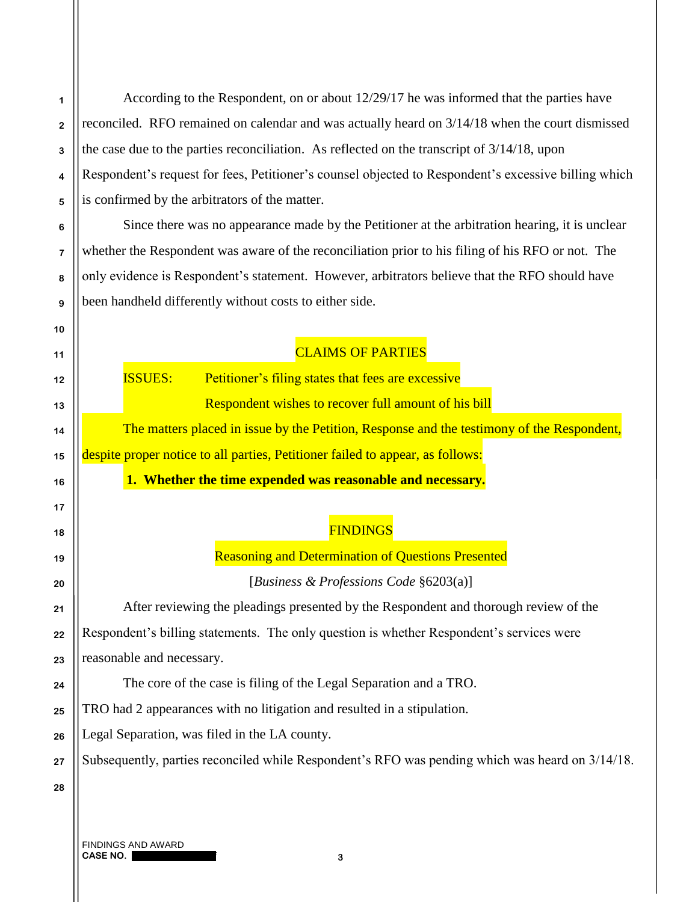According to the Respondent, on or about 12/29/17 he was informed that the parties have reconciled. RFO remained on calendar and was actually heard on 3/14/18 when the court dismissed the case due to the parties reconciliation. As reflected on the transcript of 3/14/18, upon Respondent's request for fees, Petitioner's counsel objected to Respondent's excessive billing which is confirmed by the arbitrators of the matter.

Since there was no appearance made by the Petitioner at the arbitration hearing, it is unclear whether the Respondent was aware of the reconciliation prior to his filing of his RFO or not. The only evidence is Respondent's statement. However, arbitrators believe that the RFO should have been handheld differently without costs to either side.

# CLAIMS OF PARTIES ISSUES: Petitioner's filing states that fees are excessive Respondent wishes to recover full amount of his bill The matters placed in issue by the Petition, Response and the testimony of the Respondent, despite proper notice to all parties, Petitioner failed to appear, as follows:

**1. Whether the time expended was reasonable and necessary.**

# **FINDINGS**

Reasoning and Determination of Questions Presented

[*Business & Professions Code* §6203(a)]

After reviewing the pleadings presented by the Respondent and thorough review of the Respondent's billing statements. The only question is whether Respondent's services were reasonable and necessary.

The core of the case is filing of the Legal Separation and a TRO.

TRO had 2 appearances with no litigation and resulted in a stipulation.

Legal Separation, was filed in the LA county.

Subsequently, parties reconciled while Respondent's RFO was pending which was heard on 3/14/18.

**1**

**2**

**3**

**4**

**5**

**6**

**7**

**8**

**9**

FINDINGS AND AWARD **CASE NO.** 3